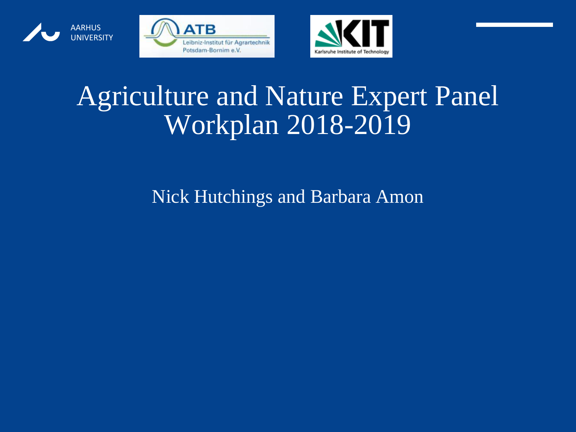





## Agriculture and Nature Expert Panel Workplan 2018-2019

#### Nick Hutchings and Barbara Amon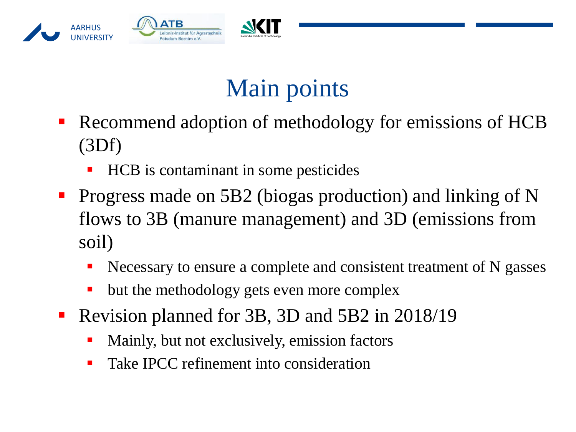

## Main points

- Recommend adoption of methodology for emissions of HCB (3Df)
	- HCB is contaminant in some pesticides
- **Progress made on 5B2 (biogas production) and linking of N** flows to 3B (manure management) and 3D (emissions from soil)
	- Necessary to ensure a complete and consistent treatment of N gasses
	- but the methodology gets even more complex
- Revision planned for 3B, 3D and 5B2 in 2018/19
	- Mainly, but not exclusively, emission factors
	- Take IPCC refinement into consideration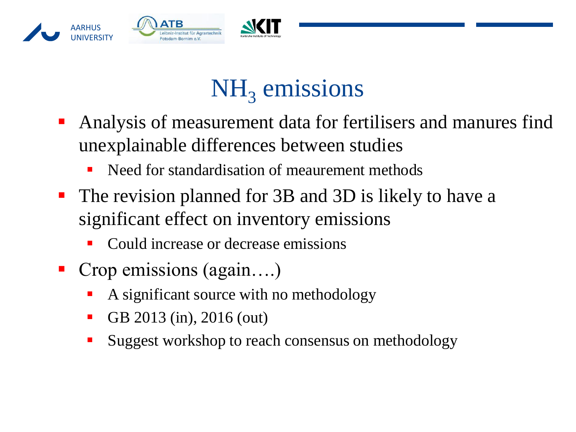

# NH<sub>3</sub> emissions

- Analysis of measurement data for fertilisers and manures find unexplainable differences between studies
	- Need for standardisation of meaurement methods
- The revision planned for 3B and 3D is likely to have a significant effect on inventory emissions
	- Could increase or decrease emissions
- Crop emissions (again....)
	- A significant source with no methodology
	- GB 2013 (in), 2016 (out)
	- Suggest workshop to reach consensus on methodology